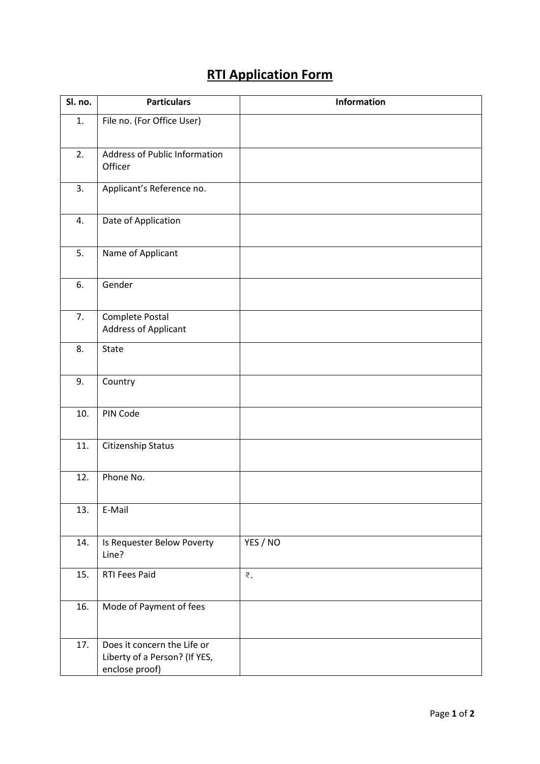## **RTI Application Form**

| Sl. no. | <b>Particulars</b>                                                             | Information |
|---------|--------------------------------------------------------------------------------|-------------|
| 1.      | File no. (For Office User)                                                     |             |
| 2.      | <b>Address of Public Information</b><br>Officer                                |             |
| 3.      | Applicant's Reference no.                                                      |             |
| 4.      | Date of Application                                                            |             |
| 5.      | Name of Applicant                                                              |             |
| 6.      | Gender                                                                         |             |
| 7.      | Complete Postal<br>Address of Applicant                                        |             |
| 8.      | State                                                                          |             |
| 9.      | Country                                                                        |             |
| 10.     | PIN Code                                                                       |             |
| 11.     | Citizenship Status                                                             |             |
| 12.     | Phone No.                                                                      |             |
| 13.     | E-Mail                                                                         |             |
| 14.     | Is Requester Below Poverty<br>Line?                                            | YES / NO    |
| 15.     | RTI Fees Paid                                                                  | ₹.          |
| 16.     | Mode of Payment of fees                                                        |             |
| 17.     | Does it concern the Life or<br>Liberty of a Person? (If YES,<br>enclose proof) |             |